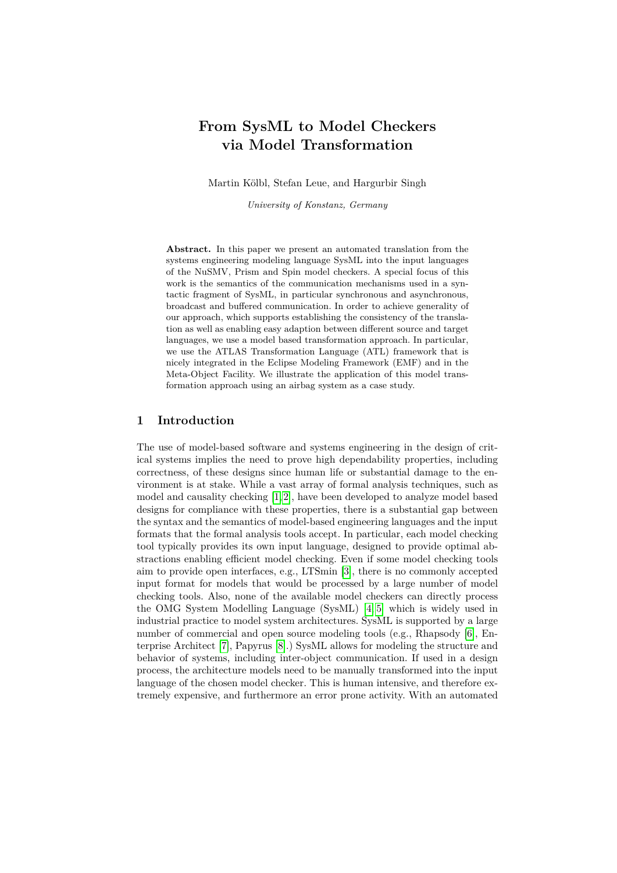# **From SysML to Model Checkers via Model Transformation**

Martin Kölbl, Stefan Leue, and Hargurbir Singh

*University of Konstanz, Germany*

**Abstract.** In this paper we present an automated translation from the systems engineering modeling language SysML into the input languages of the NuSMV, Prism and Spin model checkers. A special focus of this work is the semantics of the communication mechanisms used in a syntactic fragment of SysML, in particular synchronous and asynchronous, broadcast and buffered communication. In order to achieve generality of our approach, which supports establishing the consistency of the translation as well as enabling easy adaption between different source and target languages, we use a model based transformation approach. In particular, we use the ATLAS Transformation Language (ATL) framework that is nicely integrated in the Eclipse Modeling Framework (EMF) and in the Meta-Object Facility. We illustrate the application of this model transformation approach using an airbag system as a case study.

### **1 Introduction**

The use of model-based software and systems engineering in the design of critical systems implies the need to prove high dependability properties, including correctness, of these designs since human life or substantial damage to the environment is at stake. While a vast array of formal analysis techniques, such as model and causality checking [\[1,](#page-16-0) [2\]](#page-16-1), have been developed to analyze model based designs for compliance with these properties, there is a substantial gap between the syntax and the semantics of model-based engineering languages and the input formats that the formal analysis tools accept. In particular, each model checking tool typically provides its own input language, designed to provide optimal abstractions enabling efficient model checking. Even if some model checking tools aim to provide open interfaces, e.g., LTSmin [\[3\]](#page-16-2), there is no commonly accepted input format for models that would be processed by a large number of model checking tools. Also, none of the available model checkers can directly process the OMG System Modelling Language (SysML) [\[4,](#page-16-3) [5\]](#page-16-4) which is widely used in industrial practice to model system architectures. SysML is supported by a large number of commercial and open source modeling tools (e.g., Rhapsody [\[6\]](#page-16-5), Enterprise Architect [\[7\]](#page-16-6), Papyrus [\[8\]](#page-16-7).) SysML allows for modeling the structure and behavior of systems, including inter-object communication. If used in a design process, the architecture models need to be manually transformed into the input language of the chosen model checker. This is human intensive, and therefore extremely expensive, and furthermore an error prone activity. With an automated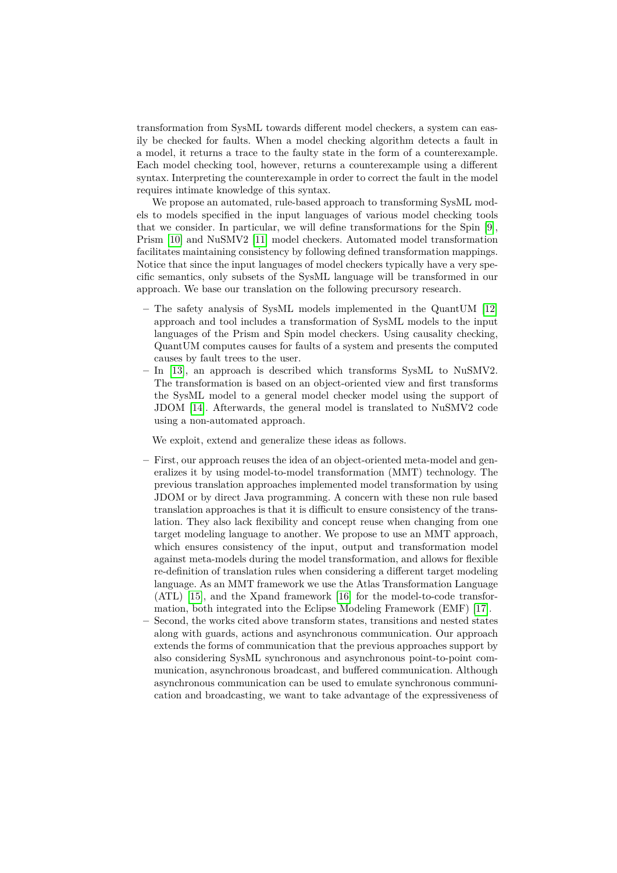transformation from SysML towards different model checkers, a system can easily be checked for faults. When a model checking algorithm detects a fault in a model, it returns a trace to the faulty state in the form of a counterexample. Each model checking tool, however, returns a counterexample using a different syntax. Interpreting the counterexample in order to correct the fault in the model requires intimate knowledge of this syntax.

We propose an automated, rule-based approach to transforming SysML models to models specified in the input languages of various model checking tools that we consider. In particular, we will define transformations for the Spin [\[9\]](#page-16-8), Prism [\[10\]](#page-16-9) and NuSMV2 [\[11\]](#page-16-10) model checkers. Automated model transformation facilitates maintaining consistency by following defined transformation mappings. Notice that since the input languages of model checkers typically have a very specific semantics, only subsets of the SysML language will be transformed in our approach. We base our translation on the following precursory research.

- **–** The safety analysis of SysML models implemented in the QuantUM [\[12\]](#page-16-11) approach and tool includes a transformation of SysML models to the input languages of the Prism and Spin model checkers. Using causality checking, QuantUM computes causes for faults of a system and presents the computed causes by fault trees to the user.
- In [\[13\]](#page-16-12), an approach is described which transforms SysML to NuSMV2. The transformation is based on an object-oriented view and first transforms the SysML model to a general model checker model using the support of JDOM [\[14\]](#page-16-13). Afterwards, the general model is translated to NuSMV2 code using a non-automated approach.

We exploit, extend and generalize these ideas as follows.

- **–** First, our approach reuses the idea of an object-oriented meta-model and generalizes it by using model-to-model transformation (MMT) technology. The previous translation approaches implemented model transformation by using JDOM or by direct Java programming. A concern with these non rule based translation approaches is that it is difficult to ensure consistency of the translation. They also lack flexibility and concept reuse when changing from one target modeling language to another. We propose to use an MMT approach, which ensures consistency of the input, output and transformation model against meta-models during the model transformation, and allows for flexible re-definition of translation rules when considering a different target modeling language. As an MMT framework we use the Atlas Transformation Language (ATL) [\[15\]](#page-16-14), and the Xpand framework [\[16\]](#page-16-15) for the model-to-code transformation, both integrated into the Eclipse Modeling Framework (EMF) [\[17\]](#page-16-16).
- **–** Second, the works cited above transform states, transitions and nested states along with guards, actions and asynchronous communication. Our approach extends the forms of communication that the previous approaches support by also considering SysML synchronous and asynchronous point-to-point communication, asynchronous broadcast, and buffered communication. Although asynchronous communication can be used to emulate synchronous communication and broadcasting, we want to take advantage of the expressiveness of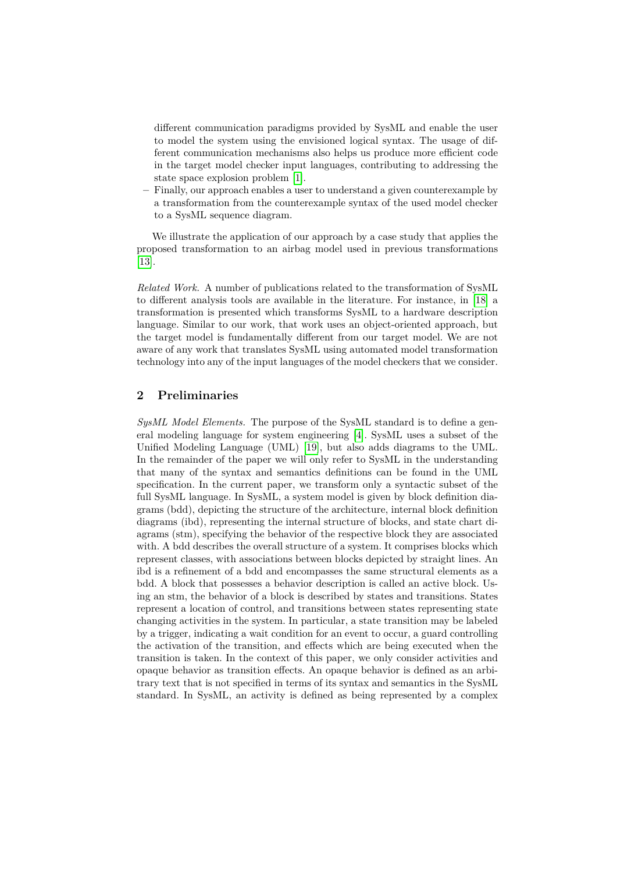different communication paradigms provided by SysML and enable the user to model the system using the envisioned logical syntax. The usage of different communication mechanisms also helps us produce more efficient code in the target model checker input languages, contributing to addressing the state space explosion problem [\[1\]](#page-16-0).

**–** Finally, our approach enables a user to understand a given counterexample by a transformation from the counterexample syntax of the used model checker to a SysML sequence diagram.

We illustrate the application of our approach by a case study that applies the proposed transformation to an airbag model used in previous transformations [\[13\]](#page-16-12).

*Related Work.* A number of publications related to the transformation of SysML to different analysis tools are available in the literature. For instance, in [\[18\]](#page-16-17) a transformation is presented which transforms SysML to a hardware description language. Similar to our work, that work uses an object-oriented approach, but the target model is fundamentally different from our target model. We are not aware of any work that translates SysML using automated model transformation technology into any of the input languages of the model checkers that we consider.

# **2 Preliminaries**

*SysML Model Elements.* The purpose of the SysML standard is to define a general modeling language for system engineering [\[4\]](#page-16-3). SysML uses a subset of the Unified Modeling Language (UML) [\[19\]](#page-16-18), but also adds diagrams to the UML. In the remainder of the paper we will only refer to SysML in the understanding that many of the syntax and semantics definitions can be found in the UML specification. In the current paper, we transform only a syntactic subset of the full SysML language. In SysML, a system model is given by block definition diagrams (bdd), depicting the structure of the architecture, internal block definition diagrams (ibd), representing the internal structure of blocks, and state chart diagrams (stm), specifying the behavior of the respective block they are associated with. A bdd describes the overall structure of a system. It comprises blocks which represent classes, with associations between blocks depicted by straight lines. An ibd is a refinement of a bdd and encompasses the same structural elements as a bdd. A block that possesses a behavior description is called an active block. Using an stm, the behavior of a block is described by states and transitions. States represent a location of control, and transitions between states representing state changing activities in the system. In particular, a state transition may be labeled by a trigger, indicating a wait condition for an event to occur, a guard controlling the activation of the transition, and effects which are being executed when the transition is taken. In the context of this paper, we only consider activities and opaque behavior as transition effects. An opaque behavior is defined as an arbitrary text that is not specified in terms of its syntax and semantics in the SysML standard. In SysML, an activity is defined as being represented by a complex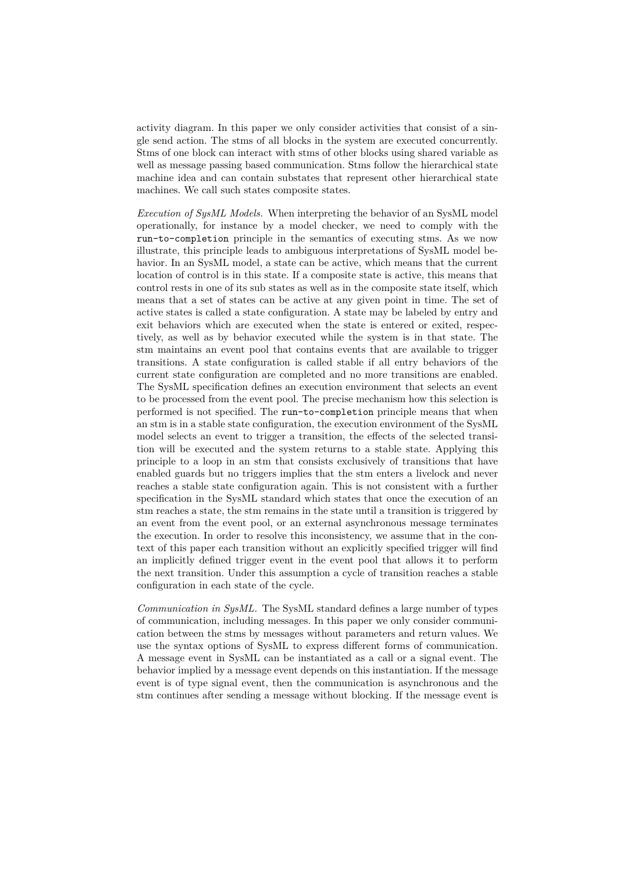activity diagram. In this paper we only consider activities that consist of a single send action. The stms of all blocks in the system are executed concurrently. Stms of one block can interact with stms of other blocks using shared variable as well as message passing based communication. Stms follow the hierarchical state machine idea and can contain substates that represent other hierarchical state machines. We call such states composite states.

*Execution of SysML Models.* When interpreting the behavior of an SysML model operationally, for instance by a model checker, we need to comply with the run-to-completion principle in the semantics of executing stms. As we now illustrate, this principle leads to ambiguous interpretations of SysML model behavior. In an SysML model, a state can be active, which means that the current location of control is in this state. If a composite state is active, this means that control rests in one of its sub states as well as in the composite state itself, which means that a set of states can be active at any given point in time. The set of active states is called a state configuration. A state may be labeled by entry and exit behaviors which are executed when the state is entered or exited, respectively, as well as by behavior executed while the system is in that state. The stm maintains an event pool that contains events that are available to trigger transitions. A state configuration is called stable if all entry behaviors of the current state configuration are completed and no more transitions are enabled. The SysML specification defines an execution environment that selects an event to be processed from the event pool. The precise mechanism how this selection is performed is not specified. The run-to-completion principle means that when an stm is in a stable state configuration, the execution environment of the SysML model selects an event to trigger a transition, the effects of the selected transition will be executed and the system returns to a stable state. Applying this principle to a loop in an stm that consists exclusively of transitions that have enabled guards but no triggers implies that the stm enters a livelock and never reaches a stable state configuration again. This is not consistent with a further specification in the SysML standard which states that once the execution of an stm reaches a state, the stm remains in the state until a transition is triggered by an event from the event pool, or an external asynchronous message terminates the execution. In order to resolve this inconsistency, we assume that in the context of this paper each transition without an explicitly specified trigger will find an implicitly defined trigger event in the event pool that allows it to perform the next transition. Under this assumption a cycle of transition reaches a stable configuration in each state of the cycle.

*Communication in SysML.* The SysML standard defines a large number of types of communication, including messages. In this paper we only consider communication between the stms by messages without parameters and return values. We use the syntax options of SysML to express different forms of communication. A message event in SysML can be instantiated as a call or a signal event. The behavior implied by a message event depends on this instantiation. If the message event is of type signal event, then the communication is asynchronous and the stm continues after sending a message without blocking. If the message event is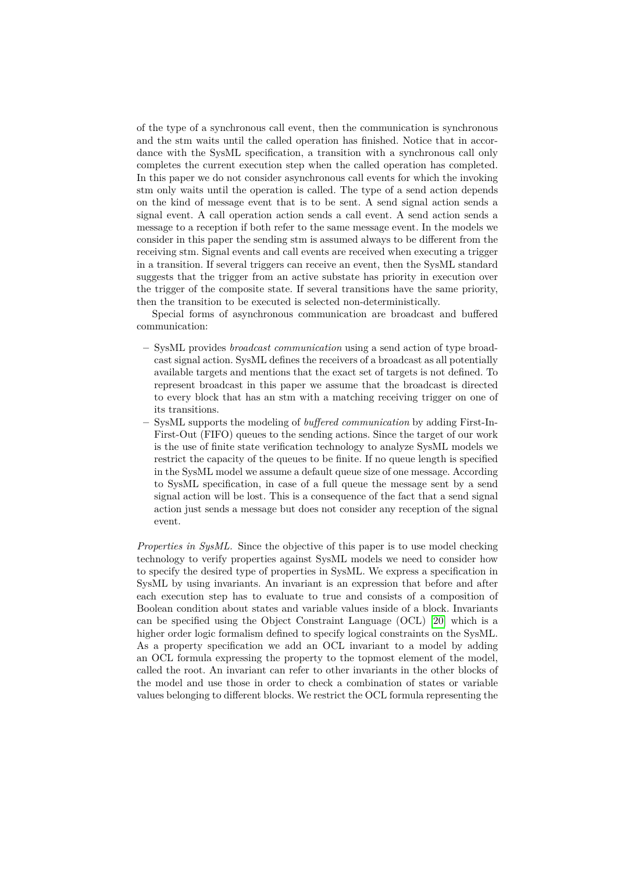of the type of a synchronous call event, then the communication is synchronous and the stm waits until the called operation has finished. Notice that in accordance with the SysML specification, a transition with a synchronous call only completes the current execution step when the called operation has completed. In this paper we do not consider asynchronous call events for which the invoking stm only waits until the operation is called. The type of a send action depends on the kind of message event that is to be sent. A send signal action sends a signal event. A call operation action sends a call event. A send action sends a message to a reception if both refer to the same message event. In the models we consider in this paper the sending stm is assumed always to be different from the receiving stm. Signal events and call events are received when executing a trigger in a transition. If several triggers can receive an event, then the SysML standard suggests that the trigger from an active substate has priority in execution over the trigger of the composite state. If several transitions have the same priority, then the transition to be executed is selected non-deterministically.

Special forms of asynchronous communication are broadcast and buffered communication:

- **–** SysML provides *broadcast communication* using a send action of type broadcast signal action. SysML defines the receivers of a broadcast as all potentially available targets and mentions that the exact set of targets is not defined. To represent broadcast in this paper we assume that the broadcast is directed to every block that has an stm with a matching receiving trigger on one of its transitions.
- **–** SysML supports the modeling of *buffered communication* by adding First-In-First-Out (FIFO) queues to the sending actions. Since the target of our work is the use of finite state verification technology to analyze SysML models we restrict the capacity of the queues to be finite. If no queue length is specified in the SysML model we assume a default queue size of one message. According to SysML specification, in case of a full queue the message sent by a send signal action will be lost. This is a consequence of the fact that a send signal action just sends a message but does not consider any reception of the signal event.

*Properties in SysML*. Since the objective of this paper is to use model checking technology to verify properties against SysML models we need to consider how to specify the desired type of properties in SysML. We express a specification in SysML by using invariants. An invariant is an expression that before and after each execution step has to evaluate to true and consists of a composition of Boolean condition about states and variable values inside of a block. Invariants can be specified using the Object Constraint Language (OCL) [\[20\]](#page-16-19) which is a higher order logic formalism defined to specify logical constraints on the SysML. As a property specification we add an OCL invariant to a model by adding an OCL formula expressing the property to the topmost element of the model, called the root. An invariant can refer to other invariants in the other blocks of the model and use those in order to check a combination of states or variable values belonging to different blocks. We restrict the OCL formula representing the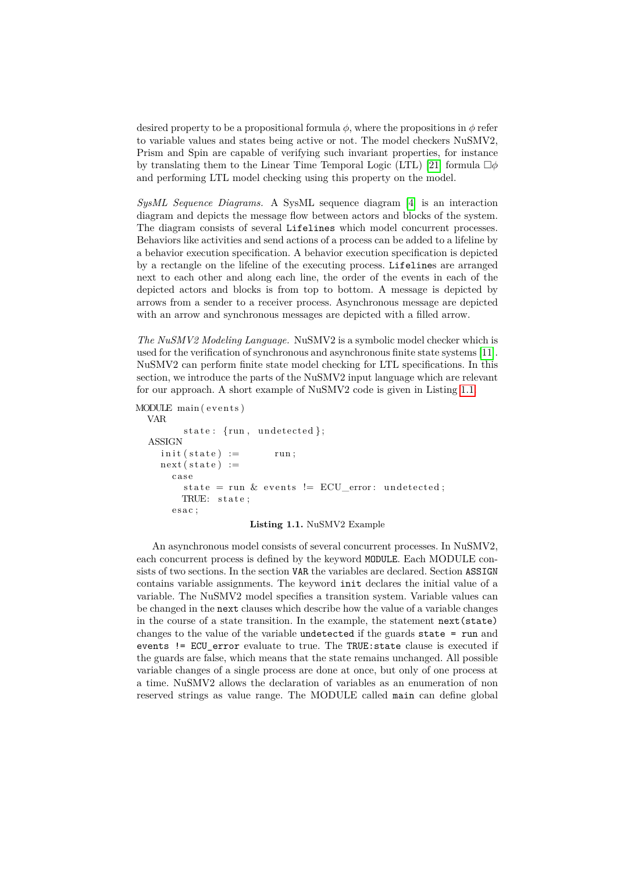desired property to be a propositional formula  $\phi$ , where the propositions in  $\phi$  refer to variable values and states being active or not. The model checkers NuSMV2, Prism and Spin are capable of verifying such invariant properties, for instance by translating them to the Linear Time Temporal Logic (LTL) [\[21\]](#page-16-20) formula  $\Box \phi$ and performing LTL model checking using this property on the model.

*SysML Sequence Diagrams.* A SysML sequence diagram [\[4\]](#page-16-3) is an interaction diagram and depicts the message flow between actors and blocks of the system. The diagram consists of several Lifelines which model concurrent processes. Behaviors like activities and send actions of a process can be added to a lifeline by a behavior execution specification. A behavior execution specification is depicted by a rectangle on the lifeline of the executing process. Lifelines are arranged next to each other and along each line, the order of the events in each of the depicted actors and blocks is from top to bottom. A message is depicted by arrows from a sender to a receiver process. Asynchronous message are depicted with an arrow and synchronous messages are depicted with a filled arrow.

*The NuSMV2 Modeling Language.* NuSMV2 is a symbolic model checker which is used for the verification of synchronous and asynchronous finite state systems [\[11\]](#page-16-10). NuSMV2 can perform finite state model checking for LTL specifications. In this section, we introduce the parts of the NuSMV2 input language which are relevant for our approach. A short example of NuSMV2 code is given in Listing [1.1.](#page-5-0)

```
MODULE main ( events )
  VAR
        state: {run, undetected};ASSIGN
    init (state) := run;next(state) :=c a s e
        state = run & events != ECU_error: undetected;
        TRUE: state;
      esac ;
```
#### **Listing 1.1.** NuSMV2 Example

An asynchronous model consists of several concurrent processes. In NuSMV2, each concurrent process is defined by the keyword MODULE. Each MODULE consists of two sections. In the section VAR the variables are declared. Section ASSIGN contains variable assignments. The keyword init declares the initial value of a variable. The NuSMV2 model specifies a transition system. Variable values can be changed in the next clauses which describe how the value of a variable changes in the course of a state transition. In the example, the statement next(state) changes to the value of the variable undetected if the guards state = run and events != ECU\_error evaluate to true. The TRUE:state clause is executed if the guards are false, which means that the state remains unchanged. All possible variable changes of a single process are done at once, but only of one process at a time. NuSMV2 allows the declaration of variables as an enumeration of non reserved strings as value range. The MODULE called main can define global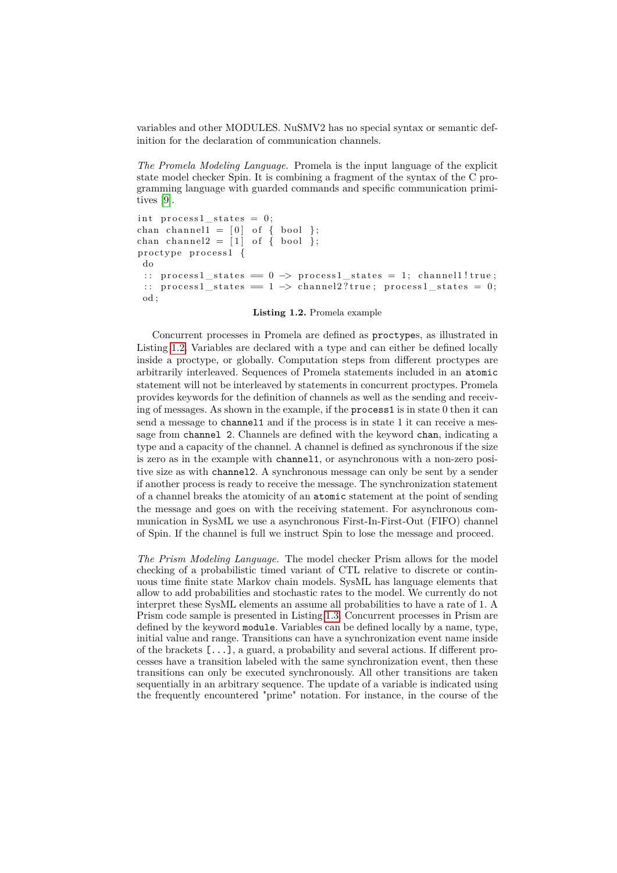variables and other MODULES. NuSMV2 has no special syntax or semantic definition for the declaration of communication channels.

*The Promela Modeling Language.* Promela is the input language of the explicit state model checker Spin. It is combining a fragment of the syntax of the C programming language with guarded commands and specific communication primitives [\[9\]](#page-16-8).

```
int process1\_states = 0;chan channel 1 = \begin{bmatrix} 0 \\ 0 \end{bmatrix} of \begin{bmatrix} 0 \\ 0 \end{bmatrix};
chan channel 2 = \lfloor 1 \rfloor of \{ bool \};
proctype process1 {
 do
 \therefore process1_states = 0 -> process1_states = 1; channell!true;
 :: \text{process1\_states} = 1 \rightarrow \text{channel2?} \text{true}; \text{process1\_states} = 0;od ;
```
#### **Listing 1.2.** Promela example

Concurrent processes in Promela are defined as proctypes, as illustrated in Listing [1.2.](#page-6-0) Variables are declared with a type and can either be defined locally inside a proctype, or globally. Computation steps from different proctypes are arbitrarily interleaved. Sequences of Promela statements included in an atomic statement will not be interleaved by statements in concurrent proctypes. Promela provides keywords for the definition of channels as well as the sending and receiving of messages. As shown in the example, if the process1 is in state 0 then it can send a message to channell and if the process is in state 1 it can receive a message from channel 2. Channels are defined with the keyword chan, indicating a type and a capacity of the channel. A channel is defined as synchronous if the size is zero as in the example with channel1, or asynchronous with a non-zero positive size as with channel2. A synchronous message can only be sent by a sender if another process is ready to receive the message. The synchronization statement of a channel breaks the atomicity of an atomic statement at the point of sending the message and goes on with the receiving statement. For asynchronous communication in SysML we use a asynchronous First-In-First-Out (FIFO) channel of Spin. If the channel is full we instruct Spin to lose the message and proceed.

*The Prism Modeling Language.* The model checker Prism allows for the model checking of a probabilistic timed variant of CTL relative to discrete or continuous time finite state Markov chain models. SysML has language elements that allow to add probabilities and stochastic rates to the model. We currently do not interpret these SysML elements an assume all probabilities to have a rate of 1. A Prism code sample is presented in Listing [1.3.](#page-7-0) Concurrent processes in Prism are defined by the keyword module. Variables can be defined locally by a name, type, initial value and range. Transitions can have a synchronization event name inside of the brackets [...], a guard, a probability and several actions. If different processes have a transition labeled with the same synchronization event, then these transitions can only be executed synchronously. All other transitions are taken sequentially in an arbitrary sequence. The update of a variable is indicated using the frequently encountered "prime" notation. For instance, in the course of the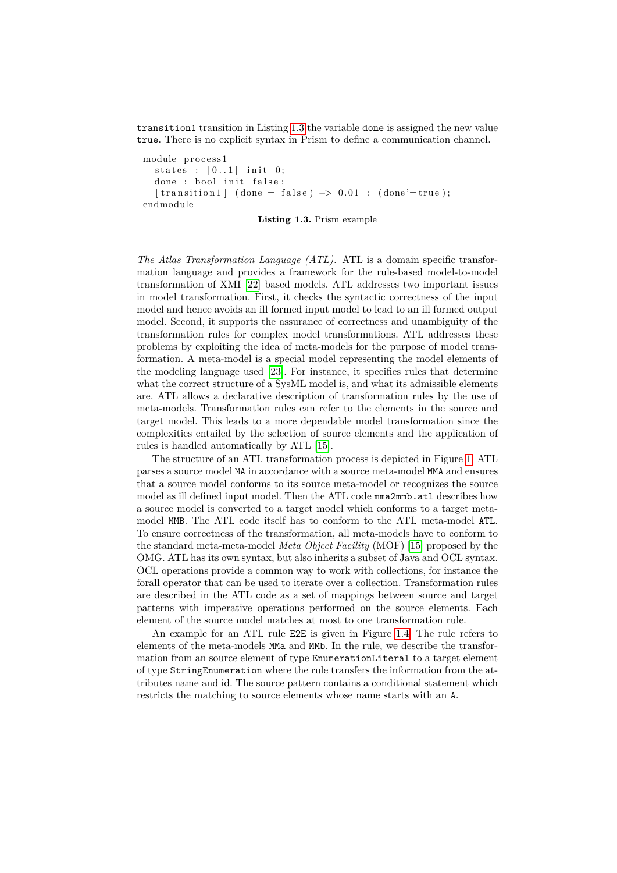transition1 transition in Listing [1.3](#page-7-0) the variable done is assigned the new value true. There is no explicit syntax in Prism to define a communication channel.

```
module process1
  states : [0..1] init 0;done : bool init false;
  [\text{transition1}] (done = false) \rightarrow 0.01 : (done'=true);
endmodule
```


*The Atlas Transformation Language (ATL).* ATL is a domain specific transformation language and provides a framework for the rule-based model-to-model transformation of XMI [\[22\]](#page-16-21) based models. ATL addresses two important issues in model transformation. First, it checks the syntactic correctness of the input model and hence avoids an ill formed input model to lead to an ill formed output model. Second, it supports the assurance of correctness and unambiguity of the transformation rules for complex model transformations. ATL addresses these problems by exploiting the idea of meta-models for the purpose of model transformation. A meta-model is a special model representing the model elements of the modeling language used [\[23\]](#page-17-0). For instance, it specifies rules that determine what the correct structure of a SysML model is, and what its admissible elements are. ATL allows a declarative description of transformation rules by the use of meta-models. Transformation rules can refer to the elements in the source and target model. This leads to a more dependable model transformation since the complexities entailed by the selection of source elements and the application of rules is handled automatically by ATL [\[15\]](#page-16-14).

The structure of an ATL transformation process is depicted in Figure [1.](#page-8-0) ATL parses a source model MA in accordance with a source meta-model MMA and ensures that a source model conforms to its source meta-model or recognizes the source model as ill defined input model. Then the ATL code mma2mmb.atl describes how a source model is converted to a target model which conforms to a target metamodel MMB. The ATL code itself has to conform to the ATL meta-model ATL. To ensure correctness of the transformation, all meta-models have to conform to the standard meta-meta-model *Meta Object Facility* (MOF) [\[15\]](#page-16-14) proposed by the OMG. ATL has its own syntax, but also inherits a subset of Java and OCL syntax. OCL operations provide a common way to work with collections, for instance the forall operator that can be used to iterate over a collection. Transformation rules are described in the ATL code as a set of mappings between source and target patterns with imperative operations performed on the source elements. Each element of the source model matches at most to one transformation rule.

An example for an ATL rule E2E is given in Figure [1.4.](#page-8-1) The rule refers to elements of the meta-models MMa and MMb. In the rule, we describe the transformation from an source element of type EnumerationLiteral to a target element of type StringEnumeration where the rule transfers the information from the attributes name and id. The source pattern contains a conditional statement which restricts the matching to source elements whose name starts with an A.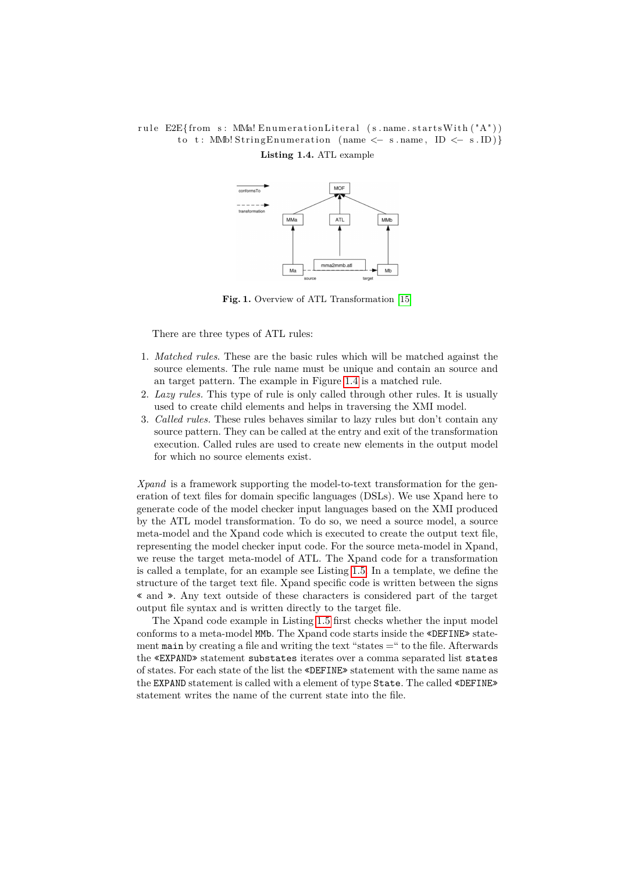<span id="page-8-1"></span>rule  $E2E\{from s: MMa! Enumeration Literal (s.name startsWith ('A''))\}$ to t: MMb! String Enumeration (name  $\langle$  - s. name, ID  $\langle$  - s. ID) } **Listing 1.4.** ATL example



<span id="page-8-0"></span>**Fig. 1.** Overview of ATL Transformation [\[15\]](#page-16-14)

There are three types of ATL rules:

- 1. *Matched rules*. These are the basic rules which will be matched against the source elements. The rule name must be unique and contain an source and an target pattern. The example in Figure [1.4](#page-8-1) is a matched rule.
- 2. *Lazy rules.* This type of rule is only called through other rules. It is usually used to create child elements and helps in traversing the XMI model.
- 3. *Called rules.* These rules behaves similar to lazy rules but don't contain any source pattern. They can be called at the entry and exit of the transformation execution. Called rules are used to create new elements in the output model for which no source elements exist.

*Xpand* is a framework supporting the model-to-text transformation for the generation of text files for domain specific languages (DSLs). We use Xpand here to generate code of the model checker input languages based on the XMI produced by the ATL model transformation. To do so, we need a source model, a source meta-model and the Xpand code which is executed to create the output text file, representing the model checker input code. For the source meta-model in Xpand, we reuse the target meta-model of ATL. The Xpand code for a transformation is called a template, for an example see Listing [1.5.](#page-9-0) In a template, we define the structure of the target text file. Xpand specific code is written between the signs « and ». Any text outside of these characters is considered part of the target output file syntax and is written directly to the target file.

The Xpand code example in Listing [1.5](#page-9-0) first checks whether the input model conforms to a meta-model MMb. The Xpand code starts inside the «DEFINE» statement main by creating a file and writing the text "states  $=$ " to the file. Afterwards the «EXPAND» statement substates iterates over a comma separated list states of states. For each state of the list the «DEFINE» statement with the same name as the EXPAND statement is called with a element of type State. The called «DEFINE» statement writes the name of the current state into the file.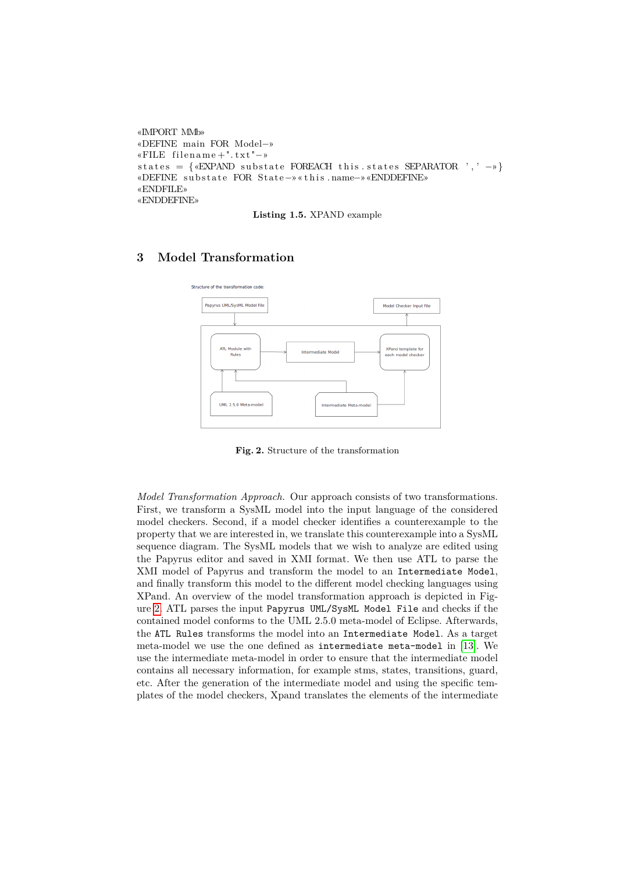```
«IMPORT MMb»
«DEFINE main FOR Model−»
«FILE filename +".txt"-states = {«EXPAND substate FOREACH this states SEPARATOR ', ' \rightarrow }
«DEFINE substate FOR State−»«this.name-»«ENDDEFINE»
«ENDFILE»
«ENDDEFINE»
```

```
Listing 1.5. XPAND example
```
# **3 Model Transformation**



<span id="page-9-1"></span>**Fig. 2.** Structure of the transformation

*Model Transformation Approach.* Our approach consists of two transformations. First, we transform a SysML model into the input language of the considered model checkers. Second, if a model checker identifies a counterexample to the property that we are interested in, we translate this counterexample into a SysML sequence diagram. The SysML models that we wish to analyze are edited using the Papyrus editor and saved in XMI format. We then use ATL to parse the XMI model of Papyrus and transform the model to an Intermediate Model, and finally transform this model to the different model checking languages using XPand. An overview of the model transformation approach is depicted in Figure [2.](#page-9-1) ATL parses the input Papyrus UML/SysML Model File and checks if the contained model conforms to the UML 2.5.0 meta-model of Eclipse. Afterwards, the ATL Rules transforms the model into an Intermediate Model. As a target meta-model we use the one defined as intermediate meta-model in [\[13\]](#page-16-12). We use the intermediate meta-model in order to ensure that the intermediate model contains all necessary information, for example stms, states, transitions, guard, etc. After the generation of the intermediate model and using the specific templates of the model checkers, Xpand translates the elements of the intermediate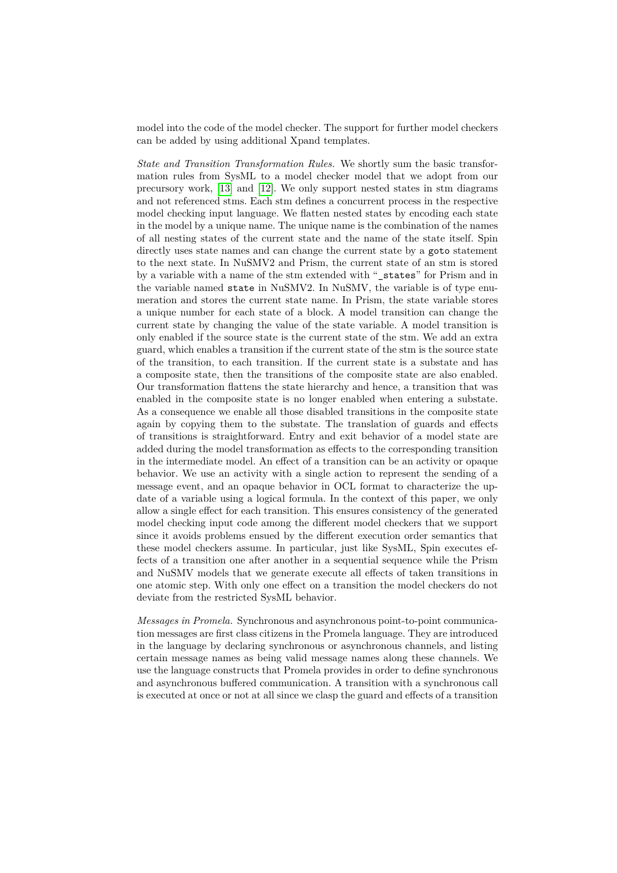model into the code of the model checker. The support for further model checkers can be added by using additional Xpand templates.

*State and Transition Transformation Rules.* We shortly sum the basic transformation rules from SysML to a model checker model that we adopt from our precursory work, [\[13\]](#page-16-12) and [\[12\]](#page-16-11). We only support nested states in stm diagrams and not referenced stms. Each stm defines a concurrent process in the respective model checking input language. We flatten nested states by encoding each state in the model by a unique name. The unique name is the combination of the names of all nesting states of the current state and the name of the state itself. Spin directly uses state names and can change the current state by a goto statement to the next state. In NuSMV2 and Prism, the current state of an stm is stored by a variable with a name of the stm extended with "\_states" for Prism and in the variable named state in NuSMV2. In NuSMV, the variable is of type enumeration and stores the current state name. In Prism, the state variable stores a unique number for each state of a block. A model transition can change the current state by changing the value of the state variable. A model transition is only enabled if the source state is the current state of the stm. We add an extra guard, which enables a transition if the current state of the stm is the source state of the transition, to each transition. If the current state is a substate and has a composite state, then the transitions of the composite state are also enabled. Our transformation flattens the state hierarchy and hence, a transition that was enabled in the composite state is no longer enabled when entering a substate. As a consequence we enable all those disabled transitions in the composite state again by copying them to the substate. The translation of guards and effects of transitions is straightforward. Entry and exit behavior of a model state are added during the model transformation as effects to the corresponding transition in the intermediate model. An effect of a transition can be an activity or opaque behavior. We use an activity with a single action to represent the sending of a message event, and an opaque behavior in OCL format to characterize the update of a variable using a logical formula. In the context of this paper, we only allow a single effect for each transition. This ensures consistency of the generated model checking input code among the different model checkers that we support since it avoids problems ensued by the different execution order semantics that these model checkers assume. In particular, just like SysML, Spin executes effects of a transition one after another in a sequential sequence while the Prism and NuSMV models that we generate execute all effects of taken transitions in one atomic step. With only one effect on a transition the model checkers do not deviate from the restricted SysML behavior.

*Messages in Promela.* Synchronous and asynchronous point-to-point communication messages are first class citizens in the Promela language. They are introduced in the language by declaring synchronous or asynchronous channels, and listing certain message names as being valid message names along these channels. We use the language constructs that Promela provides in order to define synchronous and asynchronous buffered communication. A transition with a synchronous call is executed at once or not at all since we clasp the guard and effects of a transition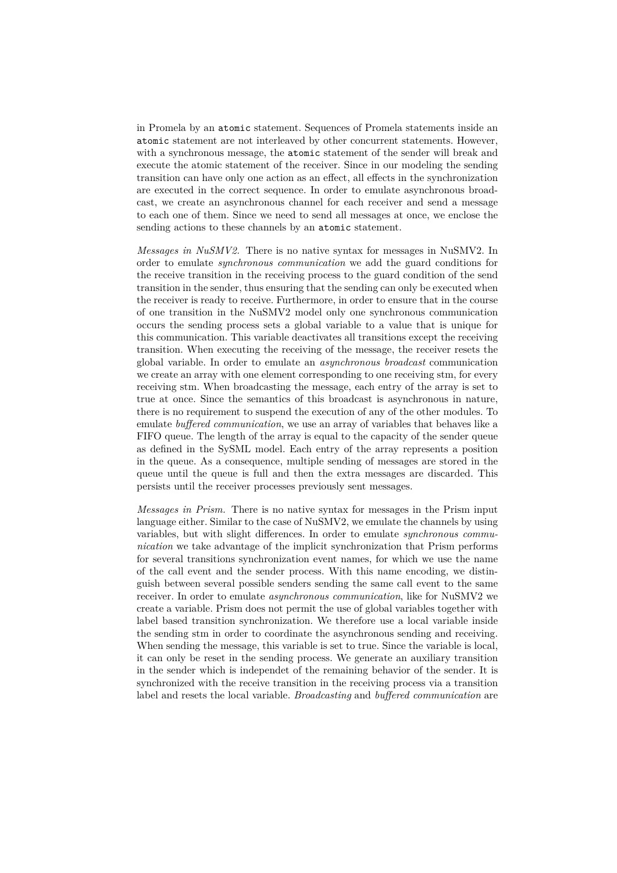in Promela by an atomic statement. Sequences of Promela statements inside an atomic statement are not interleaved by other concurrent statements. However, with a synchronous message, the atomic statement of the sender will break and execute the atomic statement of the receiver. Since in our modeling the sending transition can have only one action as an effect, all effects in the synchronization are executed in the correct sequence. In order to emulate asynchronous broadcast, we create an asynchronous channel for each receiver and send a message to each one of them. Since we need to send all messages at once, we enclose the sending actions to these channels by an atomic statement.

*Messages in NuSMV2.* There is no native syntax for messages in NuSMV2. In order to emulate *synchronous communication* we add the guard conditions for the receive transition in the receiving process to the guard condition of the send transition in the sender, thus ensuring that the sending can only be executed when the receiver is ready to receive. Furthermore, in order to ensure that in the course of one transition in the NuSMV2 model only one synchronous communication occurs the sending process sets a global variable to a value that is unique for this communication. This variable deactivates all transitions except the receiving transition. When executing the receiving of the message, the receiver resets the global variable. In order to emulate an *asynchronous broadcast* communication we create an array with one element corresponding to one receiving stm, for every receiving stm. When broadcasting the message, each entry of the array is set to true at once. Since the semantics of this broadcast is asynchronous in nature, there is no requirement to suspend the execution of any of the other modules. To emulate *buffered communication*, we use an array of variables that behaves like a FIFO queue. The length of the array is equal to the capacity of the sender queue as defined in the SySML model. Each entry of the array represents a position in the queue. As a consequence, multiple sending of messages are stored in the queue until the queue is full and then the extra messages are discarded. This persists until the receiver processes previously sent messages.

*Messages in Prism.* There is no native syntax for messages in the Prism input language either. Similar to the case of NuSMV2, we emulate the channels by using variables, but with slight differences. In order to emulate *synchronous communication* we take advantage of the implicit synchronization that Prism performs for several transitions synchronization event names, for which we use the name of the call event and the sender process. With this name encoding, we distinguish between several possible senders sending the same call event to the same receiver. In order to emulate *asynchronous communication*, like for NuSMV2 we create a variable. Prism does not permit the use of global variables together with label based transition synchronization. We therefore use a local variable inside the sending stm in order to coordinate the asynchronous sending and receiving. When sending the message, this variable is set to true. Since the variable is local, it can only be reset in the sending process. We generate an auxiliary transition in the sender which is independet of the remaining behavior of the sender. It is synchronized with the receive transition in the receiving process via a transition label and resets the local variable. *Broadcasting* and *buffered communication* are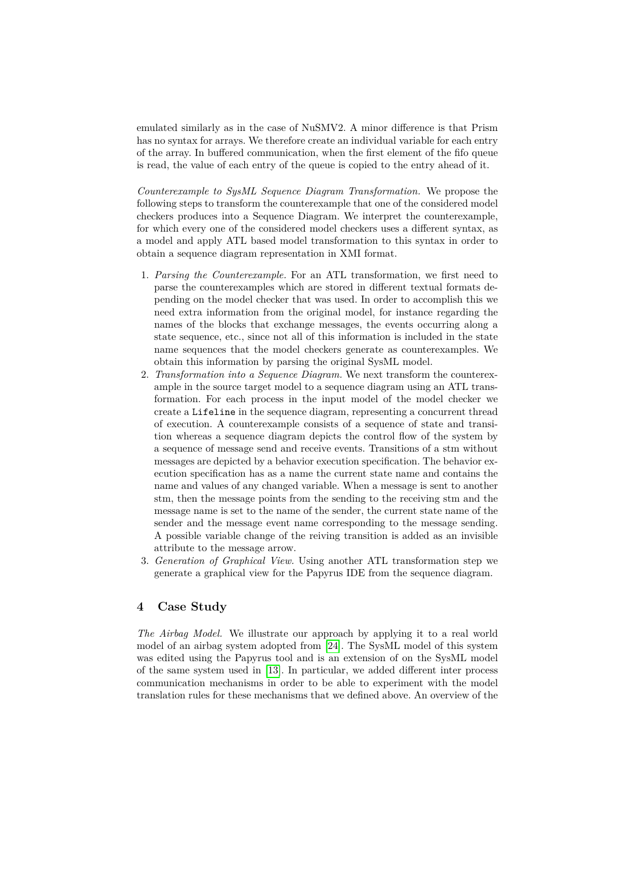emulated similarly as in the case of NuSMV2. A minor difference is that Prism has no syntax for arrays. We therefore create an individual variable for each entry of the array. In buffered communication, when the first element of the fifo queue is read, the value of each entry of the queue is copied to the entry ahead of it.

*Counterexample to SysML Sequence Diagram Transformation.* We propose the following steps to transform the counterexample that one of the considered model checkers produces into a Sequence Diagram. We interpret the counterexample, for which every one of the considered model checkers uses a different syntax, as a model and apply ATL based model transformation to this syntax in order to obtain a sequence diagram representation in XMI format.

- 1. *Parsing the Counterexample.* For an ATL transformation, we first need to parse the counterexamples which are stored in different textual formats depending on the model checker that was used. In order to accomplish this we need extra information from the original model, for instance regarding the names of the blocks that exchange messages, the events occurring along a state sequence, etc., since not all of this information is included in the state name sequences that the model checkers generate as counterexamples. We obtain this information by parsing the original SysML model.
- 2. *Transformation into a Sequence Diagram.* We next transform the counterexample in the source target model to a sequence diagram using an ATL transformation. For each process in the input model of the model checker we create a Lifeline in the sequence diagram, representing a concurrent thread of execution. A counterexample consists of a sequence of state and transition whereas a sequence diagram depicts the control flow of the system by a sequence of message send and receive events. Transitions of a stm without messages are depicted by a behavior execution specification. The behavior execution specification has as a name the current state name and contains the name and values of any changed variable. When a message is sent to another stm, then the message points from the sending to the receiving stm and the message name is set to the name of the sender, the current state name of the sender and the message event name corresponding to the message sending. A possible variable change of the reiving transition is added as an invisible attribute to the message arrow.
- 3. *Generation of Graphical View.* Using another ATL transformation step we generate a graphical view for the Papyrus IDE from the sequence diagram.

# **4 Case Study**

*The Airbag Model.* We illustrate our approach by applying it to a real world model of an airbag system adopted from [\[24\]](#page-17-1). The SysML model of this system was edited using the Papyrus tool and is an extension of on the SysML model of the same system used in [\[13\]](#page-16-12). In particular, we added different inter process communication mechanisms in order to be able to experiment with the model translation rules for these mechanisms that we defined above. An overview of the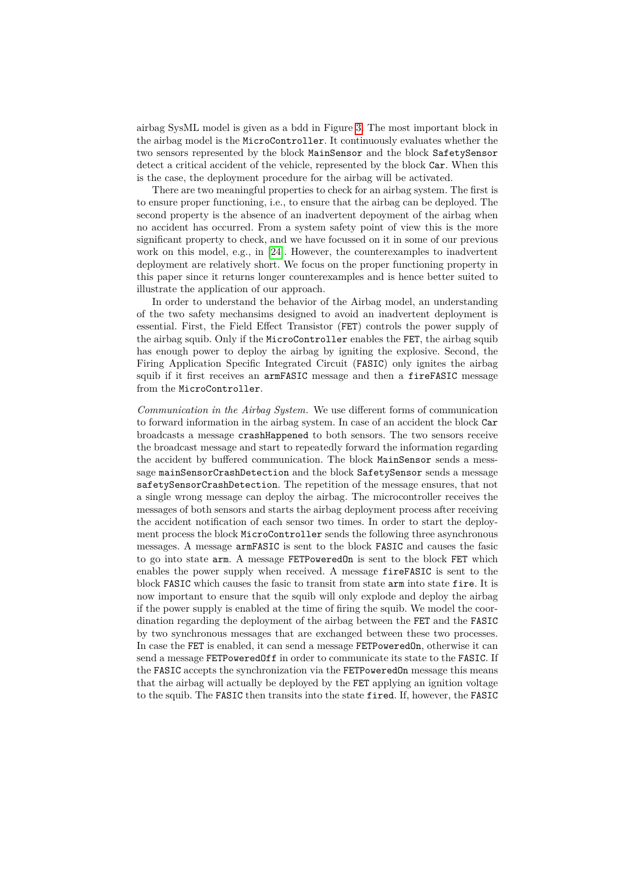airbag SysML model is given as a bdd in Figure [3.](#page-14-0) The most important block in the airbag model is the MicroController. It continuously evaluates whether the two sensors represented by the block MainSensor and the block SafetySensor detect a critical accident of the vehicle, represented by the block Car. When this is the case, the deployment procedure for the airbag will be activated.

There are two meaningful properties to check for an airbag system. The first is to ensure proper functioning, i.e., to ensure that the airbag can be deployed. The second property is the absence of an inadvertent depoyment of the airbag when no accident has occurred. From a system safety point of view this is the more significant property to check, and we have focussed on it in some of our previous work on this model, e.g., in [\[24\]](#page-17-1). However, the counterexamples to inadvertent deployment are relatively short. We focus on the proper functioning property in this paper since it returns longer counterexamples and is hence better suited to illustrate the application of our approach.

In order to understand the behavior of the Airbag model, an understanding of the two safety mechansims designed to avoid an inadvertent deployment is essential. First, the Field Effect Transistor (FET) controls the power supply of the airbag squib. Only if the MicroController enables the FET, the airbag squib has enough power to deploy the airbag by igniting the explosive. Second, the Firing Application Specific Integrated Circuit (FASIC) only ignites the airbag squib if it first receives an armFASIC message and then a fireFASIC message from the MicroController.

*Communication in the Airbag System.* We use different forms of communication to forward information in the airbag system. In case of an accident the block Car broadcasts a message crashHappened to both sensors. The two sensors receive the broadcast message and start to repeatedly forward the information regarding the accident by buffered communication. The block MainSensor sends a messsage mainSensorCrashDetection and the block SafetySensor sends a message safetySensorCrashDetection. The repetition of the message ensures, that not a single wrong message can deploy the airbag. The microcontroller receives the messages of both sensors and starts the airbag deployment process after receiving the accident notification of each sensor two times. In order to start the deployment process the block MicroController sends the following three asynchronous messages. A message armFASIC is sent to the block FASIC and causes the fasic to go into state arm. A message FETPoweredOn is sent to the block FET which enables the power supply when received. A message fireFASIC is sent to the block FASIC which causes the fasic to transit from state arm into state fire. It is now important to ensure that the squib will only explode and deploy the airbag if the power supply is enabled at the time of firing the squib. We model the coordination regarding the deployment of the airbag between the FET and the FASIC by two synchronous messages that are exchanged between these two processes. In case the FET is enabled, it can send a message FETPoweredOn, otherwise it can send a message FETPoweredOff in order to communicate its state to the FASIC. If the FASIC accepts the synchronization via the FETPoweredOn message this means that the airbag will actually be deployed by the FET applying an ignition voltage to the squib. The FASIC then transits into the state fired. If, however, the FASIC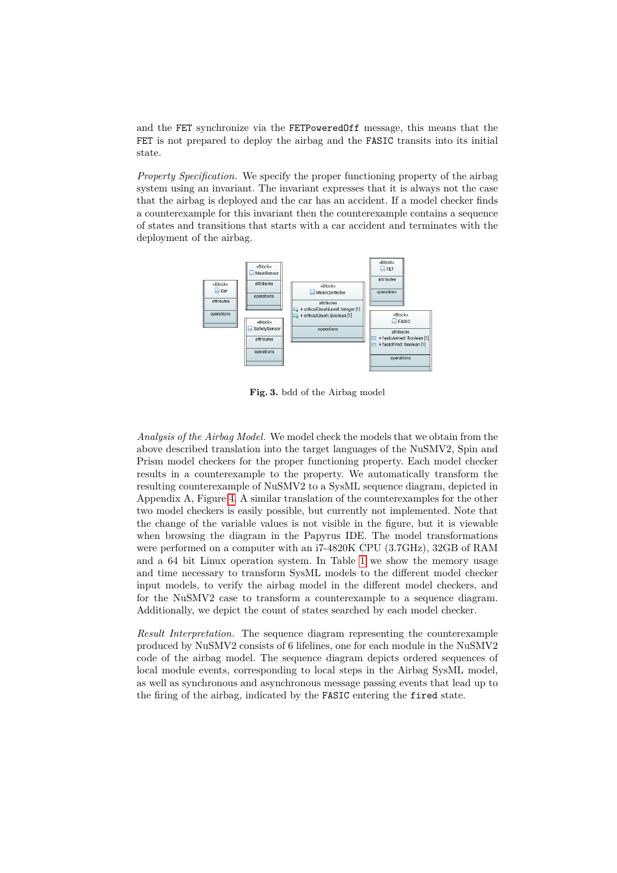and the FET synchronize via the FETPoweredOff message, this means that the FET is not prepared to deploy the airbag and the FASIC transits into its initial state.

*Property Specification.* We specify the proper functioning property of the airbag system using an invariant. The invariant expresses that it is always not the case that the airbag is deployed and the car has an accident. If a model checker finds a counterexample for this invariant then the counterexample contains a sequence of states and transitions that starts with a car accident and terminates with the deployment of the airbag.



<span id="page-14-0"></span>**Fig. 3.** bdd of the Airbag model

*Analysis of the Airbag Model.* We model check the models that we obtain from the above described translation into the target languages of the NuSMV2, Spin and Prism model checkers for the proper functioning property. Each model checker results in a counterexample to the property. We automatically transform the resulting counterexample of NuSMV2 to a SysML sequence diagram, depicted in Appendix A, Figure [4.](#page-18-0) A similar translation of the counterexamples for the other two model checkers is easily possible, but currently not implemented. Note that the change of the variable values is not visible in the figure, but it is viewable when browsing the diagram in the Papyrus IDE. The model transformations were performed on a computer with an i7-4820K CPU (3.7GHz), 32GB of RAM and a 64 bit Linux operation system. In Table [1](#page-15-0) we show the memory usage and time necessary to transform SysML models to the different model checker input models, to verify the airbag model in the different model checkers, and for the NuSMV2 case to transform a counterexample to a sequence diagram. Additionally, we depict the count of states searched by each model checker.

*Result Interpretation.* The sequence diagram representing the counterexample produced by NuSMV2 consists of 6 lifelines, one for each module in the NuSMV2 code of the airbag model. The sequence diagram depicts ordered sequences of local module events, corresponding to local steps in the Airbag SysML model, as well as synchronous and asynchronous message passing events that lead up to the firing of the airbag, indicated by the FASIC entering the fired state.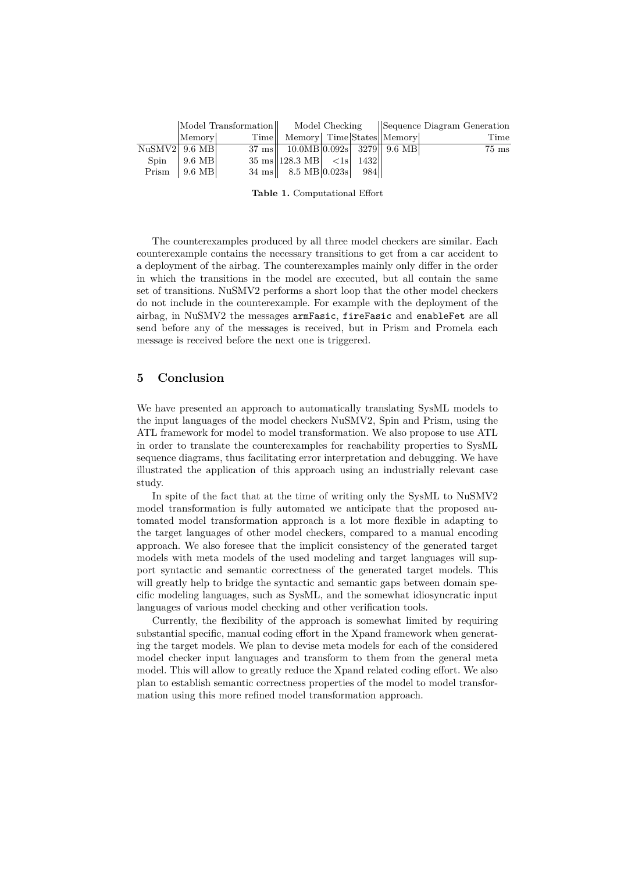|                 |                        |        | Model Transformation    Model Checking   Sequence Diagram Generation |  |        |                 |
|-----------------|------------------------|--------|----------------------------------------------------------------------|--|--------|-----------------|
|                 | Memory                 | Timell | Memory Time States Memory                                            |  |        | Time            |
| $NuSMV2$ 9.6 MB |                        |        | $37 \text{ ms}$   10.0MB $ 0.092s $ 3279   9.6 MB                    |  |        | $75 \text{ ms}$ |
| Spin            | $\vert$ 9.6 MB $\vert$ |        | $35 \text{ ms}    128.3 \text{ MB}   < 1 \text{s}$                   |  | 1432   |                 |
| Prism           | $\vert$ 9.6 MB $\vert$ |        | $34 \text{ ms}$   8.5 MB   0.023s                                    |  | -98411 |                 |

<span id="page-15-0"></span>**Table 1.** Computational Effort

The counterexamples produced by all three model checkers are similar. Each counterexample contains the necessary transitions to get from a car accident to a deployment of the airbag. The counterexamples mainly only differ in the order in which the transitions in the model are executed, but all contain the same set of transitions. NuSMV2 performs a short loop that the other model checkers do not include in the counterexample. For example with the deployment of the airbag, in NuSMV2 the messages armFasic, fireFasic and enableFet are all send before any of the messages is received, but in Prism and Promela each message is received before the next one is triggered.

## **5 Conclusion**

We have presented an approach to automatically translating SysML models to the input languages of the model checkers NuSMV2, Spin and Prism, using the ATL framework for model to model transformation. We also propose to use ATL in order to translate the counterexamples for reachability properties to SysML sequence diagrams, thus facilitating error interpretation and debugging. We have illustrated the application of this approach using an industrially relevant case study.

In spite of the fact that at the time of writing only the SysML to NuSMV2 model transformation is fully automated we anticipate that the proposed automated model transformation approach is a lot more flexible in adapting to the target languages of other model checkers, compared to a manual encoding approach. We also foresee that the implicit consistency of the generated target models with meta models of the used modeling and target languages will support syntactic and semantic correctness of the generated target models. This will greatly help to bridge the syntactic and semantic gaps between domain specific modeling languages, such as SysML, and the somewhat idiosyncratic input languages of various model checking and other verification tools.

Currently, the flexibility of the approach is somewhat limited by requiring substantial specific, manual coding effort in the Xpand framework when generating the target models. We plan to devise meta models for each of the considered model checker input languages and transform to them from the general meta model. This will allow to greatly reduce the Xpand related coding effort. We also plan to establish semantic correctness properties of the model to model transformation using this more refined model transformation approach.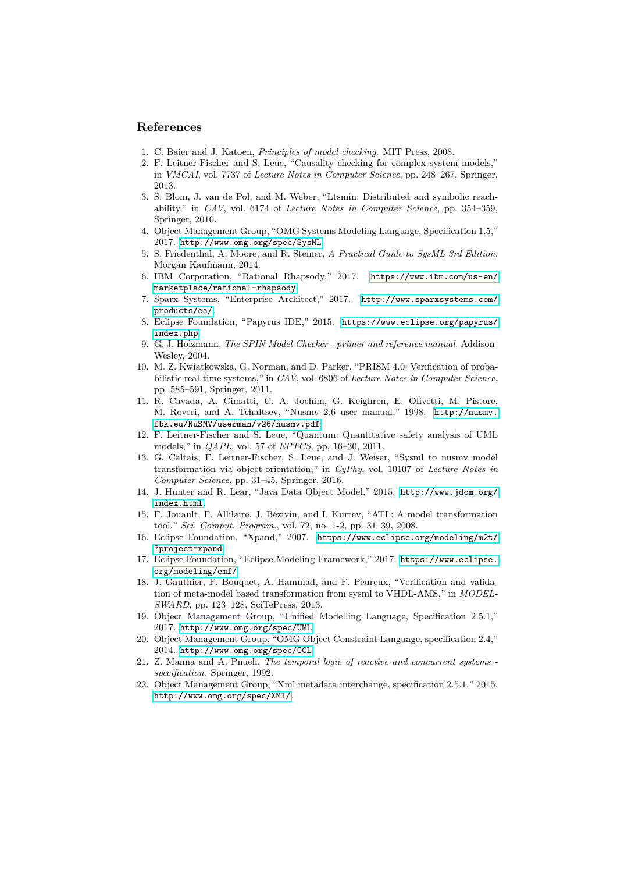#### **References**

- <span id="page-16-0"></span>1. C. Baier and J. Katoen, *Principles of model checking*. MIT Press, 2008.
- <span id="page-16-1"></span>2. F. Leitner-Fischer and S. Leue, "Causality checking for complex system models," in *VMCAI*, vol. 7737 of *Lecture Notes in Computer Science*, pp. 248–267, Springer, 2013.
- <span id="page-16-2"></span>3. S. Blom, J. van de Pol, and M. Weber, "Ltsmin: Distributed and symbolic reachability," in *CAV*, vol. 6174 of *Lecture Notes in Computer Science*, pp. 354–359, Springer, 2010.
- <span id="page-16-3"></span>4. Object Management Group, "OMG Systems Modeling Language, Specification 1.5," 2017. <http://www.omg.org/spec/SysML>.
- <span id="page-16-4"></span>5. S. Friedenthal, A. Moore, and R. Steiner, *A Practical Guide to SysML 3rd Edition*. Morgan Kaufmann, 2014.
- <span id="page-16-5"></span>6. IBM Corporation, "Rational Rhapsody," 2017. [https://www.ibm.com/us-en/](https://www.ibm.com/us-en/marketplace/rational-rhapsody) [marketplace/rational-rhapsody](https://www.ibm.com/us-en/marketplace/rational-rhapsody).
- <span id="page-16-6"></span>7. Sparx Systems, "Enterprise Architect," 2017. [http://www.sparxsystems.com/](http://www.sparxsystems.com/products/ea/) [products/ea/](http://www.sparxsystems.com/products/ea/).
- <span id="page-16-7"></span>8. Eclipse Foundation, "Papyrus IDE," 2015. [https://www.eclipse.org/papyrus/](https://www.eclipse.org/papyrus/index.php) [index.php](https://www.eclipse.org/papyrus/index.php).
- <span id="page-16-8"></span>9. G. J. Holzmann, *The SPIN Model Checker - primer and reference manual*. Addison-Wesley, 2004.
- <span id="page-16-9"></span>10. M. Z. Kwiatkowska, G. Norman, and D. Parker, "PRISM 4.0: Verification of probabilistic real-time systems," in *CAV*, vol. 6806 of *Lecture Notes in Computer Science*, pp. 585–591, Springer, 2011.
- <span id="page-16-10"></span>11. R. Cavada, A. Cimatti, C. A. Jochim, G. Keighren, E. Olivetti, M. Pistore, M. Roveri, and A. Tchaltsev, "Nusmv 2.6 user manual," 1998. [http://nusmv.](http://nusmv.fbk.eu/NuSMV/userman/v26/nusmv.pdf) [fbk.eu/NuSMV/userman/v26/nusmv.pdf](http://nusmv.fbk.eu/NuSMV/userman/v26/nusmv.pdf).
- <span id="page-16-11"></span>12. F. Leitner-Fischer and S. Leue, "Quantum: Quantitative safety analysis of UML models," in *QAPL*, vol. 57 of *EPTCS*, pp. 16–30, 2011.
- <span id="page-16-12"></span>13. G. Caltais, F. Leitner-Fischer, S. Leue, and J. Weiser, "Sysml to nusmv model transformation via object-orientation," in *CyPhy*, vol. 10107 of *Lecture Notes in Computer Science*, pp. 31–45, Springer, 2016.
- <span id="page-16-13"></span>14. J. Hunter and R. Lear, "Java Data Object Model," 2015. [http://www.jdom.org/](http://www.jdom.org/index.html) [index.html](http://www.jdom.org/index.html).
- <span id="page-16-14"></span>15. F. Jouault, F. Allilaire, J. Bézivin, and I. Kurtev, "ATL: A model transformation tool," *Sci. Comput. Program.*, vol. 72, no. 1-2, pp. 31–39, 2008.
- <span id="page-16-15"></span>16. Eclipse Foundation, "Xpand," 2007. [https://www.eclipse.org/modeling/m2t/](https://www.eclipse.org/modeling/m2t/?project=xpand) [?project=xpand](https://www.eclipse.org/modeling/m2t/?project=xpand).
- <span id="page-16-16"></span>17. Eclipse Foundation, "Eclipse Modeling Framework," 2017. [https://www.eclipse.](https://www.eclipse.org/modeling/emf/) [org/modeling/emf/](https://www.eclipse.org/modeling/emf/).
- <span id="page-16-17"></span>18. J. Gauthier, F. Bouquet, A. Hammad, and F. Peureux, "Verification and validation of meta-model based transformation from sysml to VHDL-AMS," in *MODEL-SWARD*, pp. 123–128, SciTePress, 2013.
- <span id="page-16-18"></span>19. Object Management Group, "Unified Modelling Language, Specification 2.5.1," 2017. <http://www.omg.org/spec/UML>.
- <span id="page-16-19"></span>20. Object Management Group, "OMG Object Constraint Language, specification 2.4," 2014. <http://www.omg.org/spec/OCL>.
- <span id="page-16-20"></span>21. Z. Manna and A. Pnueli, *The temporal logic of reactive and concurrent systems specification*. Springer, 1992.
- <span id="page-16-21"></span>22. Object Management Group, "Xml metadata interchange, specification 2.5.1," 2015. <http://www.omg.org/spec/XMI/>.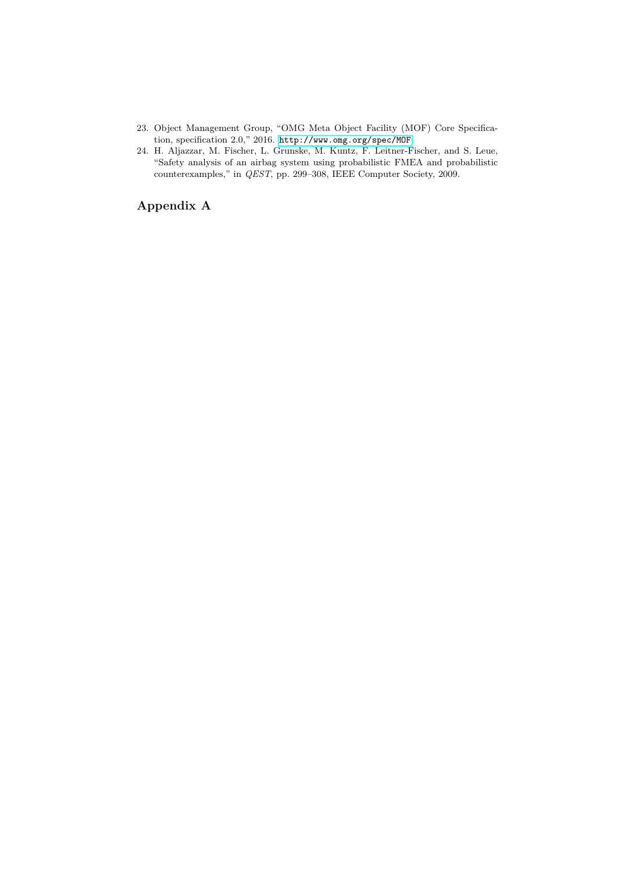- <span id="page-17-0"></span>23. Object Management Group, "OMG Meta Object Facility (MOF) Core Specification, specification 2.0," 2016. <http://www.omg.org/spec/MOF>.
- <span id="page-17-1"></span>24. H. Aljazzar, M. Fischer, L. Grunske, M. Kuntz, F. Leitner-Fischer, and S. Leue, "Safety analysis of an airbag system using probabilistic FMEA and probabilistic counterexamples," in *QEST*, pp. 299–308, IEEE Computer Society, 2009.

**Appendix A**